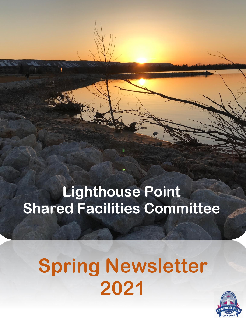# **Lighthouse Point Shared Facilities Committee**

# **Spring Newsletter 2021**

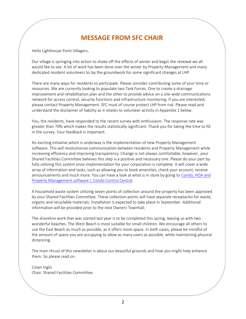# **MESSAGE FROM SFC CHAIR**

Hello Lighthouse Point Villagers,

Our village is springing into action to shake off the effects of winter and begin the renewal we all would like to see. A lot of work has been done over the winter by Property Management and many dedicated resident volunteers to lay the groundwork for some significant changes at LHP.

There are many ways for residents to participate. Please consider contributing some of your time or resources. We are currently looking to populate two Task Forces. One to create a drainage improvement and rehabilitation plan and the other to provide advice on a site-wide communications network for access control, security functions and infrastructure monitoring. If you are interested, please contact Property Management. SFC must of course protect LHP from risk. Please read and understand the disclaimer of liability as it relates to volunteer activity in Appendix 1 below.

You, the residents, have responded to the recent survey with enthusiasm. The response rate was greater than 70% which makes the results statistically significant. Thank you for taking the time to fill in the survey. Your feedback is important.

An exciting initiative which is underway is the implementation of new Property Management software. This will revolutionize communication between residents and Property Management while increasing efficiency and improving transparency. Change is not always comfortable, however, your Shared Facilities Committee believes this step is a positive and necessary one. Please do your part by fully utilizing this system once implementation for your corporation is complete. It will cover a wide array of information and tasks, such as allowing you to book amenities, check your account, receive announcements and much more. You can have a look at what is in store by going to [Condo, HOA and](https://www.condocontrolcentral.com/)  [Property Management software | Condo Control Central.](https://www.condocontrolcentral.com/)

A household waste system utilizing seven points of collection around the property has been approved by your Shared Facilities Committee. These collection points will have separate receptacles for waste, organic and recyclable materials. Installation is expected to take place in September. Additional information will be provided prior to the next Owners Townhall.

The shoreline work that was started last year is to be completed this spring, leaving us with two wonderful beaches. The West Beach is most suitable for small children. We encourage all others to use the East Beach as much as possible, as it offers more space. In both cases, please be mindful of the amount of space you are occupying to allow as many users as possible, while maintaining physical distancing.

The main thrust of this newsletter is about our beautiful grounds and how you might help enhance them. So please read on.

Colan Inglis Chair, Shared Facilities Committee.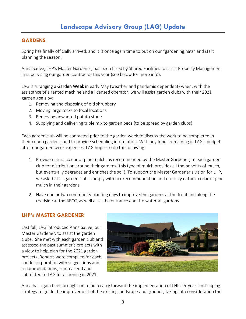#### **GARDENS**

Spring has finally officially arrived, and it is once again time to put on our "gardening hats" and start planning the season!

Anna Sauve, LHP's Master Gardener, has been hired by Shared Facilities to assist Property Management in supervising our garden contractor this year (see below for more info).

LAG is arranging a Garden Week in early May (weather and pandemic dependent) when, with the assistance of a rented machine and a licensed operator, we will assist garden clubs with their 2021 garden goals by:

- 1. Removing and disposing of old shrubbery
- 2. Moving large rocks to focal locations
- 3. Removing unwanted potato stone
- 4. Supplying and delivering triple mix to garden beds (to be spread by garden clubs)

Each garden club will be contacted prior to the garden week to discuss the work to be completed in their condo gardens, and to provide scheduling information. With any funds remaining in LAG's budget after our garden week expenses, LAG hopes to do the following:

- 1. Provide natural cedar or pine mulch, as recommended by the Master Gardener, to each garden club for distribution around their gardens (this type of mulch provides all the benefits of mulch, but eventually degrades and enriches the soil). To support the Master Gardener's vision for LHP, we ask that all garden clubs comply with her recommendation and use only natural cedar or pine mulch in their gardens.
- 2. Have one or two community planting days to improve the gardens at the front and along the roadside at the RBCC, as well as at the entrance and the waterfall gardens.

#### **LHP's MASTER GARDENER**

Last fall, LAG introduced Anna Sauve, our Master Gardener, to assist the garden clubs. She met with each garden club and assessed the past summer's projects with a view to help plan for the 2021 garden projects. Reports were compiled for each condo corporation with suggestions and recommendations, summarized and submitted to LAG for actioning in 2021.



Anna has again been brought on to help carry forward the implementation of LHP's 5-year landscaping strategy to guide the improvement of the existing landscape and grounds, taking into consideration the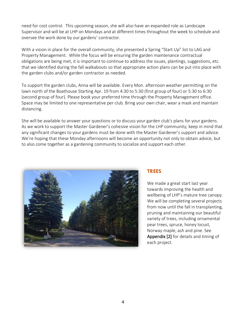need for cost control. This upcoming season, she will also have an expanded role as Landscape Supervisor and will be at LHP on Mondays and at different times throughout the week to schedule and oversee the work done by our gardens' contractor.

With a vision in place for the overall community, she presented a Spring "Start Up" list to LAG and Property Management. While the focus will be ensuring the garden maintenance contractual obligations are being met, it is important to continue to address the issues, plantings, suggestions, etc. that we identified during the fall walkabouts so that appropriate action plans can be put into place with the garden clubs and/or garden contractor as needed.

To support the garden clubs, Anna will be available. Every Mon. afternoon weather permitting on the lawn north of the Boathouse Starting Apr. 19 from 4:30 to 5:30 (first group of four) or 5:30 to 6:30 (second group of four). Please book your preferred time through the Property Management office. Space may be limited to one representative per club. Bring your own chair, wear a mask and maintain distancing.

She will be available to answer your questions or to discuss your garden club's plans for your gardens. As we work to support the Master Gardener's cohesive vision for the LHP community, keep in mind that any significant changes to your gardens must be done with the Master Gardener's support and advice. We're hoping that these Monday afternoons will become an opportunity not only to obtain advice, but to also come together as a gardening community to socialize and support each other.



#### **TREES**

We made a great start last year towards improving the health and wellbeing of LHP's mature tree canopy. We will be completing several projects from now until the fall in transplanting, pruning and maintaining our beautiful variety of trees, including ornamental pear trees, spruce, honey locust, Norway maple, ash and pine. See Appendix [2] for details and timing of each project.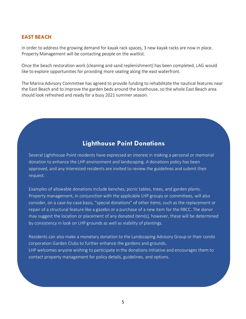#### **EAST BEACH**

In order to address the growing demand for kayak rack spaces, 3 new kayak racks are now in place. Property Management will be contacting people on the waitlist.

Once the beach restoration work (cleaning and sand replenishment) has been completed, LAG would like to explore opportunities for providing more seating along the east waterfront.

The Marina Advisory Committee has agreed to provide funding to rehabilitate the nautical features near the East Beach and to improve the garden beds around the boathouse, so the whole East Beach area should look refreshed and ready for a busy 2021 summer season.

### **Lighthouse Point Donations**

Several Lighthouse Point residents have expressed an interest in making a personal or memorial donation to enhance the LHP environment and landscaping. A donations policy has been approved, and any interested residents are invited to review the guidelines and submit their request.

Examples of allowable donations include benches, picnic tables, trees, and garden plants. Property management, in conjunction with the applicable LHP groups or committees, will also consider, on a case-by-case basis, "special donations" of other items, such as the replacement or repair of a structural feature like a gazebo or a purchase of a new item for the RBCC. The donor may suggest the location or placement of any donated item(s), however, these will be determined by consistency in look on LHP grounds as well as viability of plantings.

Residents can also make a monetary donation to the Landscaping Advisory Group or their condo corporation Garden Clubs to further enhance the gardens and grounds. LHP welcomes anyone wishing to participate in the donations initiative and encourages them to contact property management for policy details, guidelines, and options.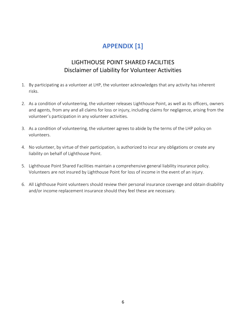# **APPENDIX [1]**

## LIGHTHOUSE POINT SHARED FACILITIES Disclaimer of Liability for Volunteer Activities

- 1. By participating as a volunteer at LHP, the volunteer acknowledges that any activity has inherent risks.
- 2. As a condition of volunteering, the volunteer releases Lighthouse Point, as well as its officers, owners and agents, from any and all claims for loss or injury, including claims for negligence, arising from the volunteer's participation in any volunteer activities.
- 3. As a condition of volunteering, the volunteer agrees to abide by the terms of the LHP policy on volunteers.
- 4. No volunteer, by virtue of their participation, is authorized to incur any obligations or create any liability on behalf of Lighthouse Point.
- 5. Lighthouse Point Shared Facilities maintain a comprehensive general liability insurance policy. Volunteers are not insured by Lighthouse Point for loss of income in the event of an injury.
- 6. All Lighthouse Point volunteers should review their personal insurance coverage and obtain disability and/or income replacement insurance should they feel these are necessary.